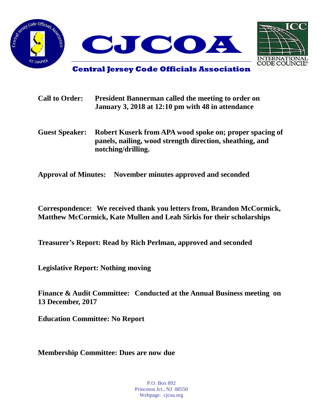



**Central Jersey Code Officials Association**

| <b>Call to Order:</b> | <b>President Bannerman called the meeting to order on</b><br>January 3, 2018 at 12:10 pm with 48 in attendance                            |
|-----------------------|-------------------------------------------------------------------------------------------------------------------------------------------|
| <b>Guest Speaker:</b> | Robert Kuserk from APA wood spoke on; proper spacing of<br>panels, nailing, wood strength direction, sheathing, and<br>notching/drilling. |

**Approval of Minutes: November minutes approved and seconded**

**Correspondence: We received thank you letters from, Brandon McCormick, Matthew McCormick, Kate Mullen and Leah Sirkis for their scholarships**

**Treasurer's Report: Read by Rich Perlman, approved and seconded**

**Legislative Report: Nothing moving**

**Finance & Audit Committee: Conducted at the Annual Business meeting on 13 December, 2017**

**Education Committee: No Report**

**Membership Committee: Dues are now due**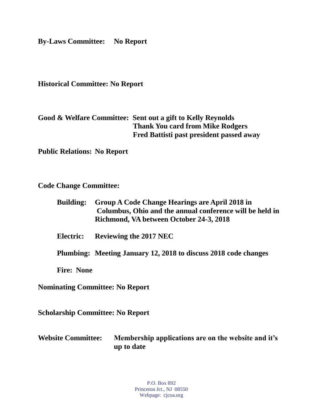**By-Laws Committee: No Report**

**Historical Committee: No Report**

## **Good & Welfare Committee: Sent out a gift to Kelly Reynolds Thank You card from Mike Rodgers Fred Battisti past president passed away**

**Public Relations: No Report**

**Code Change Committee:**

| Building: Group A Code Change Hearings are April 2018 in |
|----------------------------------------------------------|
| Columbus, Ohio and the annual conference will be held in |
| Richmond, VA between October 24-3, 2018                  |

**Electric: Reviewing the 2017 NEC**

**Plumbing: Meeting January 12, 2018 to discuss 2018 code changes**

**Fire: None**

**Nominating Committee: No Report**

**Scholarship Committee: No Report**

**Website Committee: Membership applications are on the website and it's up to date**